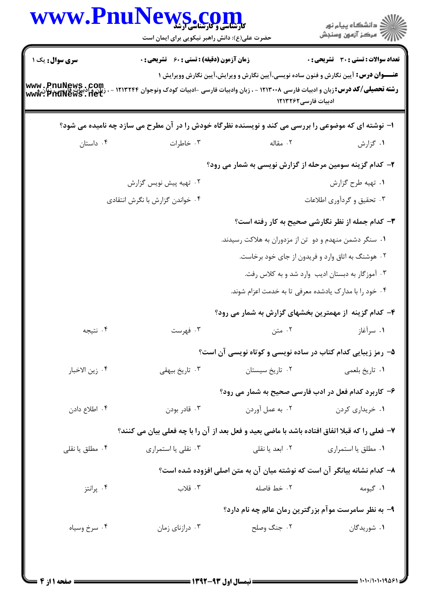|                                    | www.PnuNews.co<br><b>کارشناسی و کارسناسی از ش</b><br>حضرت علی(ع): دانش راهبر نیکویی برای ایمان است         |                                                                          | ڪ دانشڪاه پيا <sub>م</sub> نور<br>∕7 مرڪز آزمون وسنڊش                                      |
|------------------------------------|------------------------------------------------------------------------------------------------------------|--------------------------------------------------------------------------|--------------------------------------------------------------------------------------------|
| <b>سری سوال :</b> یک ۱             | <b>زمان آزمون (دقیقه) : تستی : 60 ٪ تشریحی : 0</b>                                                         |                                                                          | تعداد سوالات : تستي : 30 ٪ تشريحي : 0                                                      |
| www.PnuNews.com<br>www.PnuNews.net | <b>رشته تحصیلی/کد درس:</b> زبان و ادبیات فارسی ۱۲۱۳۰۰۸ - ، زبان وادبیات فارسی -ادبیات کودک ونوجوان ۱۲۱۳۲۴۴ | ادبیات فارسی ۱۲۱۳۲۶۲                                                     | <b>عنـــوان درس:</b> آیین نگارش و فنون ساده نویسی،آیین نگارش و ویرایش،آیین نگارش وویرایش ۱ |
|                                    | ۱– نوشته ای که موضوعی را بررسی می کند و نویسنده نظرگاه خودش را در آن مطرح می سازد چه نامیده می شود؟        |                                                                          |                                                                                            |
| ۰۴ داستان                          | ۰۳ خاطرات                                                                                                  | ۰۲ مقاله                                                                 | ۰۱ گزارش                                                                                   |
|                                    |                                                                                                            | ۲- کدام گزینه سومین مرحله از گزارش نویسی به شمار می رود؟                 |                                                                                            |
|                                    | ۰۲ تهیه پیش نویس گزارش                                                                                     |                                                                          | ۰۱ تهیه طرح گزارش                                                                          |
|                                    | ۰۴ خواندن گزارش با نگرش انتقادی                                                                            |                                                                          | ۰۳ تحقیق و گردآوری اطلاعات                                                                 |
|                                    |                                                                                                            |                                                                          | ۳- کدام جمله از نظر نگارشی صحیح به کار رفته است؟                                           |
|                                    |                                                                                                            | ۰۱ سنگر دشمن منهدم و دو تن از مزدوران به هلاکت رسیدند.                   |                                                                                            |
|                                    |                                                                                                            | ۰۲ هوشنگ به اتاق وارد و فریدون از جای خود برخاست.                        |                                                                                            |
|                                    |                                                                                                            |                                                                          | ۰۳ آموزگار به دبستان ادیب وارد شد و به کلاس رفت.                                           |
|                                    |                                                                                                            | ۰۴ خود را با مدارک یادشده معرفی تا به خدمت اعزام شوند.                   |                                                                                            |
|                                    |                                                                                                            | ۴– کدام گزینه از مهمترین بخشهای گزارش به شمار می رود؟                    |                                                                                            |
| ۰۴ نتيجه                           | ۰۳ فهرست                                                                                                   | ۰۲ متن                                                                   | ۰۱ سرآغاز                                                                                  |
|                                    |                                                                                                            | ۵– رمز زیبایی کدام کتاب در ساده نویسی و کوتاه نویسی آن است؟              |                                                                                            |
| ۰۴ زين الاخبار                     | ۰۳ تاریخ بیهقی                                                                                             | ٠٢ تاريخ سيستان                                                          | ٠١ تاريخ بلعمي                                                                             |
|                                    |                                                                                                            | ۶– کاربرد کدام فعل در ادب فارسی صحیح به شمار می رود؟                     |                                                                                            |
| ۰۴ اطلاع دادن                      | ۰۳ قادر بودن                                                                                               | ۰۲ به عمل آوردن                                                          | ۰۱ خریداری کردن                                                                            |
|                                    | ۷- فعلی را که قبلا اتفاق افتاده باشد با ماضی بعید و فعل بعد از آن را با چه فعلی بیان می کنند؟              |                                                                          |                                                                                            |
| ۰۴ مطلق یا نقلی                    | ۰۳ نقلی یا استمراری                                                                                        | ۰۲ ابعد یا نقلی                                                          | ۰۱ مطلق یا استمراری                                                                        |
|                                    |                                                                                                            | ۸– کدام نشانه بیانگر آن است که نوشته میان آن به متن اصلی افزوده شده است؟ |                                                                                            |
| ۰۴ پرانتز                          | ۰۳ قلاب                                                                                                    | ٢. خط فاصله                                                              | ۰۱ گیومه                                                                                   |
|                                    |                                                                                                            | ۹- به نظر سامرست موآم بزرگترین رمان عالم چه نام دارد؟                    |                                                                                            |
| ۰۴ سرخ وسیاه                       | ۰۳ درازنای زمان                                                                                            | ۰۲ جنگ وصلح                                                              | ۰۱ شوریدگان                                                                                |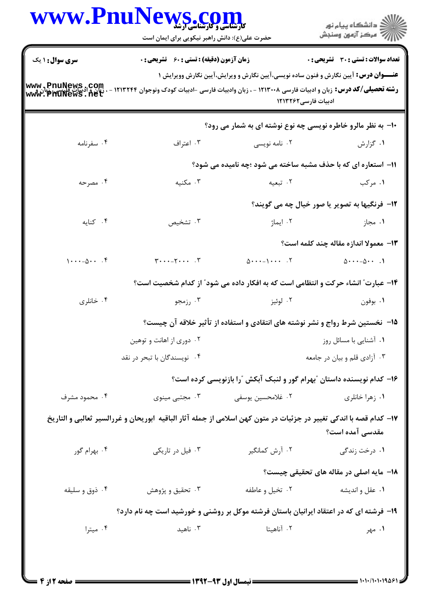| <b>سری سوال : ۱ یک</b><br><b>زمان آزمون (دقیقه) : تستی : 60 ٪ تشریحی : 0</b><br><b>عنـــوان درس:</b> آیین نگارش و فنون ساده نویسی،آیین نگارش و ویرایش،آیین نگارش وویرایش ۱<br>www.PnuNews.com<br><b>رشته تحصیلی/کد درس:</b> زبان و ادبیات فارسی ۱۲۱۳۰۰۸ - ، زبان وادبیات فارسی -ادبیات کودک ونوجوان ۱۳۲۴۴<br>ww.PhuNews.net<br>ادبیات فارسی1۲۱۳۲۶۲<br>۱۰- به نظر مالرو خاطره نویسی چه نوع نوشته ای به شمار می رود؟<br>۰۴ سفرنامه<br>۰۳ اعتراف<br>۰۱ گزارش<br>۰۲ نامه نویسی<br>11- استعاره ای که با حذف مشبه ساخته می شود ؛چه نامیده می شود؟<br>۰۴ مصرحه<br>۰۳ مکنیه<br>۰۲ تبعیه<br>۰۱ مرکب<br><b>۱۲- فرنگیها به تصویر یا صور خیال چه می گویند؟</b><br>$\cdot$ کنایه<br>۰۳ تشخیص<br>۰۲ ایماژ<br>۰۱ مجاز<br>13- معمولا اندازه مقاله چند کلمه است؟<br>$1 \cdot \cdot \cdot - \Delta \cdot \cdot \cdot$ .<br>$\mathbf{y} \cdot \cdot \cdot - \mathbf{y} \cdot \cdot \cdot \cdot \mathbf{y}$<br>$0 \cdots - 1 \cdots$ . T<br>$\Delta$ $-\Delta$<br>۱۴- عبارت ؒ انشاء حرکت و انتظامی است که به افکار داده می شود ؒ از کدام شخصیت است؟<br>۰۴ خانلری<br>۰۲ لوئيز<br>۰۱ بوفون<br>۰۳ رزمجو<br>۱۵− ً نخستین شرط رواج و نشر نوشته های انتقادی و استفاده از تأثیر خلاقه آن چیست؟<br>۰۲ دوری از اهانت و توهین<br>٠١. آشنايي با مسائل روز<br>۰۴ نویسندگان با تبحر در نقد<br>۰۳ آزادي قلم و بيان در جامعه<br>۱۶– کدام نویسنده داستان "بهرام گور و لنبک آبکش "را بازنویسی کرده است؟<br>۰۴ محمود مشرف<br>۰۳ مجتبی مینوی<br>۰۱ زهرا خانلري<br>۰۲ غلامحسین یوسفی<br>۱۷– کدام قصه با اندکی تغییر در جزئیات در متون کهن اسلامی از جمله آثار الباقیه  ابوریحان و غررالسیر ثعالبی و التاریخ<br>مقدسی آمده است؟<br>۰۲ آرش کمانگیر<br>۰۴ بهرام گور<br>۰۳ فیل در تاریکی<br>۰۱ درخت زندگی<br><b>۱۸</b> - مایه اصلی در مقاله های تحقیقی چیست؟<br>۰۲ تخیل و عاطفه<br>۰۱ عقل و انديشه<br>۰۴ ذوق و سليقه<br>۰۳ تحقیق و پژوهش<br>۱۹- فرشته ای که در اعتقاد ایرانیان باستان فرشته موکل بر روشنی و خورشید است چه نام دارد؟<br>۰۳ ناهید<br>۰۲ آناهیتا<br>۰۴ میترا<br>۰۱ مهر | <b>WWW.Pnu</b> | <b>کارشناسی و کارشناسی ارشد</b><br>حضرت علی(ع): دانش راهبر نیکویی برای ایمان است | ڪ دانشڪاه پيام نور<br>ر∕ = مرڪز آزمون وسنڊش |
|-----------------------------------------------------------------------------------------------------------------------------------------------------------------------------------------------------------------------------------------------------------------------------------------------------------------------------------------------------------------------------------------------------------------------------------------------------------------------------------------------------------------------------------------------------------------------------------------------------------------------------------------------------------------------------------------------------------------------------------------------------------------------------------------------------------------------------------------------------------------------------------------------------------------------------------------------------------------------------------------------------------------------------------------------------------------------------------------------------------------------------------------------------------------------------------------------------------------------------------------------------------------------------------------------------------------------------------------------------------------------------------------------------------------------------------------------------------------------------------------------------------------------------------------------------------------------------------------------------------------------------------------------------------------------------------------------------------------------------------------------------------------------------------------------------------------------------------------------------------------------------------------------------------------------------------------|----------------|----------------------------------------------------------------------------------|---------------------------------------------|
|                                                                                                                                                                                                                                                                                                                                                                                                                                                                                                                                                                                                                                                                                                                                                                                                                                                                                                                                                                                                                                                                                                                                                                                                                                                                                                                                                                                                                                                                                                                                                                                                                                                                                                                                                                                                                                                                                                                                         |                |                                                                                  | تعداد سوالات : تستى : 30 قشريحى : 0         |
|                                                                                                                                                                                                                                                                                                                                                                                                                                                                                                                                                                                                                                                                                                                                                                                                                                                                                                                                                                                                                                                                                                                                                                                                                                                                                                                                                                                                                                                                                                                                                                                                                                                                                                                                                                                                                                                                                                                                         |                |                                                                                  |                                             |
|                                                                                                                                                                                                                                                                                                                                                                                                                                                                                                                                                                                                                                                                                                                                                                                                                                                                                                                                                                                                                                                                                                                                                                                                                                                                                                                                                                                                                                                                                                                                                                                                                                                                                                                                                                                                                                                                                                                                         |                |                                                                                  |                                             |
|                                                                                                                                                                                                                                                                                                                                                                                                                                                                                                                                                                                                                                                                                                                                                                                                                                                                                                                                                                                                                                                                                                                                                                                                                                                                                                                                                                                                                                                                                                                                                                                                                                                                                                                                                                                                                                                                                                                                         |                |                                                                                  |                                             |
|                                                                                                                                                                                                                                                                                                                                                                                                                                                                                                                                                                                                                                                                                                                                                                                                                                                                                                                                                                                                                                                                                                                                                                                                                                                                                                                                                                                                                                                                                                                                                                                                                                                                                                                                                                                                                                                                                                                                         |                |                                                                                  |                                             |
|                                                                                                                                                                                                                                                                                                                                                                                                                                                                                                                                                                                                                                                                                                                                                                                                                                                                                                                                                                                                                                                                                                                                                                                                                                                                                                                                                                                                                                                                                                                                                                                                                                                                                                                                                                                                                                                                                                                                         |                |                                                                                  |                                             |
|                                                                                                                                                                                                                                                                                                                                                                                                                                                                                                                                                                                                                                                                                                                                                                                                                                                                                                                                                                                                                                                                                                                                                                                                                                                                                                                                                                                                                                                                                                                                                                                                                                                                                                                                                                                                                                                                                                                                         |                |                                                                                  |                                             |
|                                                                                                                                                                                                                                                                                                                                                                                                                                                                                                                                                                                                                                                                                                                                                                                                                                                                                                                                                                                                                                                                                                                                                                                                                                                                                                                                                                                                                                                                                                                                                                                                                                                                                                                                                                                                                                                                                                                                         |                |                                                                                  |                                             |
|                                                                                                                                                                                                                                                                                                                                                                                                                                                                                                                                                                                                                                                                                                                                                                                                                                                                                                                                                                                                                                                                                                                                                                                                                                                                                                                                                                                                                                                                                                                                                                                                                                                                                                                                                                                                                                                                                                                                         |                |                                                                                  |                                             |
|                                                                                                                                                                                                                                                                                                                                                                                                                                                                                                                                                                                                                                                                                                                                                                                                                                                                                                                                                                                                                                                                                                                                                                                                                                                                                                                                                                                                                                                                                                                                                                                                                                                                                                                                                                                                                                                                                                                                         |                |                                                                                  |                                             |
|                                                                                                                                                                                                                                                                                                                                                                                                                                                                                                                                                                                                                                                                                                                                                                                                                                                                                                                                                                                                                                                                                                                                                                                                                                                                                                                                                                                                                                                                                                                                                                                                                                                                                                                                                                                                                                                                                                                                         |                |                                                                                  |                                             |
|                                                                                                                                                                                                                                                                                                                                                                                                                                                                                                                                                                                                                                                                                                                                                                                                                                                                                                                                                                                                                                                                                                                                                                                                                                                                                                                                                                                                                                                                                                                                                                                                                                                                                                                                                                                                                                                                                                                                         |                |                                                                                  |                                             |
|                                                                                                                                                                                                                                                                                                                                                                                                                                                                                                                                                                                                                                                                                                                                                                                                                                                                                                                                                                                                                                                                                                                                                                                                                                                                                                                                                                                                                                                                                                                                                                                                                                                                                                                                                                                                                                                                                                                                         |                |                                                                                  |                                             |
|                                                                                                                                                                                                                                                                                                                                                                                                                                                                                                                                                                                                                                                                                                                                                                                                                                                                                                                                                                                                                                                                                                                                                                                                                                                                                                                                                                                                                                                                                                                                                                                                                                                                                                                                                                                                                                                                                                                                         |                |                                                                                  |                                             |
|                                                                                                                                                                                                                                                                                                                                                                                                                                                                                                                                                                                                                                                                                                                                                                                                                                                                                                                                                                                                                                                                                                                                                                                                                                                                                                                                                                                                                                                                                                                                                                                                                                                                                                                                                                                                                                                                                                                                         |                |                                                                                  |                                             |
|                                                                                                                                                                                                                                                                                                                                                                                                                                                                                                                                                                                                                                                                                                                                                                                                                                                                                                                                                                                                                                                                                                                                                                                                                                                                                                                                                                                                                                                                                                                                                                                                                                                                                                                                                                                                                                                                                                                                         |                |                                                                                  |                                             |
|                                                                                                                                                                                                                                                                                                                                                                                                                                                                                                                                                                                                                                                                                                                                                                                                                                                                                                                                                                                                                                                                                                                                                                                                                                                                                                                                                                                                                                                                                                                                                                                                                                                                                                                                                                                                                                                                                                                                         |                |                                                                                  |                                             |
|                                                                                                                                                                                                                                                                                                                                                                                                                                                                                                                                                                                                                                                                                                                                                                                                                                                                                                                                                                                                                                                                                                                                                                                                                                                                                                                                                                                                                                                                                                                                                                                                                                                                                                                                                                                                                                                                                                                                         |                |                                                                                  |                                             |
|                                                                                                                                                                                                                                                                                                                                                                                                                                                                                                                                                                                                                                                                                                                                                                                                                                                                                                                                                                                                                                                                                                                                                                                                                                                                                                                                                                                                                                                                                                                                                                                                                                                                                                                                                                                                                                                                                                                                         |                |                                                                                  |                                             |
|                                                                                                                                                                                                                                                                                                                                                                                                                                                                                                                                                                                                                                                                                                                                                                                                                                                                                                                                                                                                                                                                                                                                                                                                                                                                                                                                                                                                                                                                                                                                                                                                                                                                                                                                                                                                                                                                                                                                         |                |                                                                                  |                                             |
|                                                                                                                                                                                                                                                                                                                                                                                                                                                                                                                                                                                                                                                                                                                                                                                                                                                                                                                                                                                                                                                                                                                                                                                                                                                                                                                                                                                                                                                                                                                                                                                                                                                                                                                                                                                                                                                                                                                                         |                |                                                                                  |                                             |
|                                                                                                                                                                                                                                                                                                                                                                                                                                                                                                                                                                                                                                                                                                                                                                                                                                                                                                                                                                                                                                                                                                                                                                                                                                                                                                                                                                                                                                                                                                                                                                                                                                                                                                                                                                                                                                                                                                                                         |                |                                                                                  |                                             |
|                                                                                                                                                                                                                                                                                                                                                                                                                                                                                                                                                                                                                                                                                                                                                                                                                                                                                                                                                                                                                                                                                                                                                                                                                                                                                                                                                                                                                                                                                                                                                                                                                                                                                                                                                                                                                                                                                                                                         |                |                                                                                  |                                             |
|                                                                                                                                                                                                                                                                                                                                                                                                                                                                                                                                                                                                                                                                                                                                                                                                                                                                                                                                                                                                                                                                                                                                                                                                                                                                                                                                                                                                                                                                                                                                                                                                                                                                                                                                                                                                                                                                                                                                         |                |                                                                                  |                                             |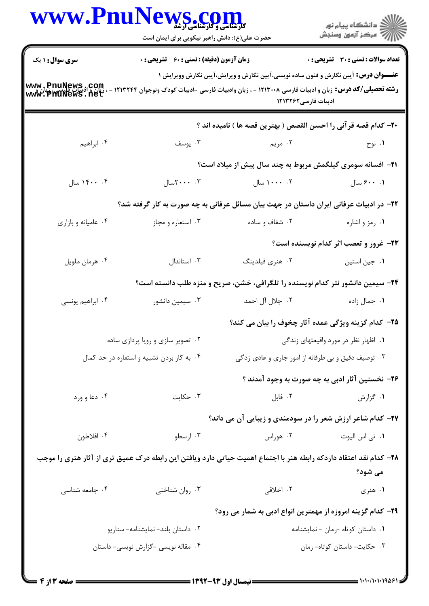| <b>WWW.Pnur</b>                           | <b>VS.COM</b><br>حضرت علی(ع): دانش راهبر نیکویی برای ایمان است           |                                                                                                                                                                                                                              | ر دانشڪاه پيام نور<br>اڳ مرڪز آزمون وسنڊش       |
|-------------------------------------------|--------------------------------------------------------------------------|------------------------------------------------------------------------------------------------------------------------------------------------------------------------------------------------------------------------------|-------------------------------------------------|
| <b>سری سوال : ۱ یک</b>                    | <b>زمان آزمون (دقیقه) : تستی : 60 ٪ تشریحی : 0</b>                       |                                                                                                                                                                                                                              | <b>تعداد سوالات : تستی : 30 ٪ تشریحی : 0</b>    |
| www.PnuNews.com<br>www.PnuNews.net        |                                                                          | <b>عنـــوان درس:</b> آیین نگارش و فنون ساده نویسی،آیین نگارش و ویرایش،آیین نگارش وویرایش ۱<br><b>رشته تحصیلی/کد درس:</b> زبان و ادبیات فارسی ۱۲۱۳۰۰۸ - ، زبان وادبیات فارسی -ادبیات کودک ونوجوان ۳۲۴۴<br>ادبیات فارسی1۲۱۳۲۶۲ |                                                 |
|                                           |                                                                          | +٢- كدام قصه قر آني را احسن القصص ( بهترين قصه ها ) ناميده اند ؟                                                                                                                                                             |                                                 |
| ۰۴ ابراهیم                                | ۰۳ يوسف                                                                  | ۲. مريم                                                                                                                                                                                                                      | ۰۱ نوح                                          |
|                                           |                                                                          | <b>۰۲</b> افسانه سومری گیلگمش مربوط به چند سال پیش از میلاد است؟                                                                                                                                                             |                                                 |
| ۰۴ . ۱۴۰۰ سال                             | $T \cdot \cdot \cdot \cdot$ ۲سال                                         | ۰۲ - ۱۰۰۰ سال                                                                                                                                                                                                                | ۰. ۶۰۰ سال                                      |
|                                           |                                                                          | ۲۲– در ادبیات عرفانی ایران داستان در جهت بیان مسائل عرفانی به چه صورت به کار گرفته شد؟                                                                                                                                       |                                                 |
| ۰۴ عامیانه و بازاری                       | ۰۳ استعاره و مجاز                                                        | ۰۲ شفاف و ساده                                                                                                                                                                                                               | ۰۱ رمز و اشاره                                  |
|                                           |                                                                          |                                                                                                                                                                                                                              | ۲۳- غرور و تعصب اثر کدام نویسنده است؟           |
| ۰۴ هرمان ملويل                            | ۰۳ استاندال                                                              | ۰۲ هنري فيلدينگ                                                                                                                                                                                                              | ٠١ جين استين                                    |
|                                           |                                                                          | ۲۴- سیمین دانشور نثر کدام نویسنده را تلگرافی، خشن، صریح و منزه طلب دانسته است؟                                                                                                                                               |                                                 |
| ۰۴ ابراهیم یونسی                          | ۰۳ سیمین دانشور                                                          | ۰۲ جلال آل احمد                                                                                                                                                                                                              | ۰۱ جمال زاده                                    |
|                                           |                                                                          | ۲۵– کدام گزینه ویژگی عمده آثار چخوف را بیان می کند؟                                                                                                                                                                          |                                                 |
|                                           | ۰۲ تصویر سازی و رویا پردازی ساده<br>۰۱ اظهار نظر در مورد واقیعتهای زندگی |                                                                                                                                                                                                                              |                                                 |
| ۰۴ به کار بردن تشبیه و استعاره در حد کمال |                                                                          | ۰۳ توصیف دقیق و بی طرفانه از امور جاری و عادی زدگی                                                                                                                                                                           |                                                 |
|                                           |                                                                          |                                                                                                                                                                                                                              | ۲۶– نخستین آثار ادبی به چه صورت به وجود آمدند ؟ |
| ۰۴ دعا و ورد                              | ۰۳ حکایت                                                                 | ۰۲ فابل                                                                                                                                                                                                                      | ۰۱ گزارش                                        |
|                                           |                                                                          | <b>۲۷- کدام شاعر ارزش شعر را در سودمندی و زیبایی آن می داند</b> ؟                                                                                                                                                            |                                                 |
| ۰۴ افلاطون                                | ۰۳ ارسطو                                                                 | ۰۲ هوراس                                                                                                                                                                                                                     | ۰۱ تی اس الیوت                                  |
|                                           |                                                                          | ۲۸– کدام نقد اعتقاد داردکه رابطه هنر با اجتماع اهمیت حیاتی دارد ویافتن این رابطه درک عمیق تری از آثار هنری را موجب                                                                                                           | می شود؟                                         |
| ۰۴ جامعه شناسی                            | ۰۳ روان شناختی                                                           | ۰۲ اخلاقی                                                                                                                                                                                                                    | ۰۱ هنري                                         |
|                                           |                                                                          | ۲۹– کدام گزینه امروزه از مهمترین انواع ادبی به شمار می رود؟                                                                                                                                                                  |                                                 |
|                                           | ٠١ داستان كوتاه -رمان - نمايشنامه<br>۰۲ داستان بلند- نمایشنامه- سناریو   |                                                                                                                                                                                                                              |                                                 |
|                                           | ۰۴ مقاله نویسی -گزارش نویسی- داستان                                      | ۰۳ حکایت- داستان کوتاه- رمان                                                                                                                                                                                                 |                                                 |
|                                           |                                                                          |                                                                                                                                                                                                                              |                                                 |